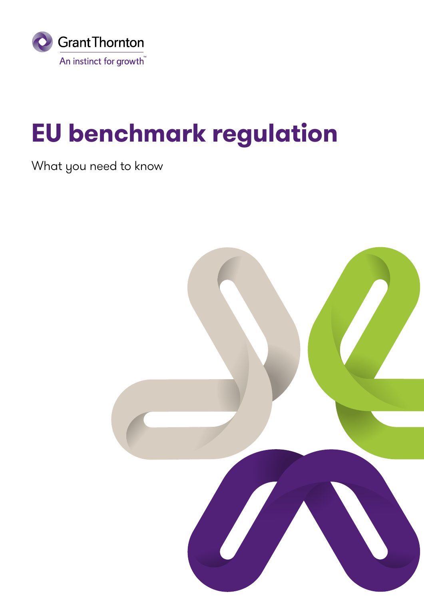

# **EU benchmark regulation**

What you need to know

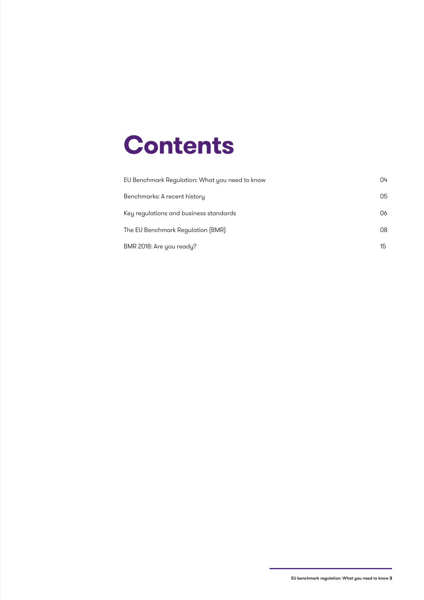### **Contents**

| EU Benchmark Regulation: What you need to know | 04 |
|------------------------------------------------|----|
| Benchmarks: A recent history                   | 05 |
| Key regulations and business standards         | 06 |
| The EU Benchmark Regulation (BMR)              | 08 |
| BMR 2018: Are you ready?                       | 15 |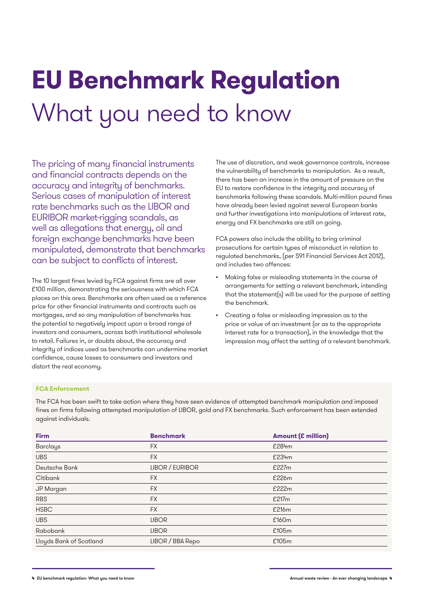# **EU Benchmark Regulation**  What you need to know

The pricing of many financial instruments and financial contracts depends on the accuracy and integrity of benchmarks. Serious cases of manipulation of interest rate benchmarks such as the LIBOR and EURIBOR market-rigging scandals, as well as allegations that energy, oil and foreign exchange benchmarks have been manipulated, demonstrate that benchmarks can be subject to conflicts of interest.

The 10 largest fines levied by FCA against firms are all over £100 million, demonstrating the seriousness with which FCA places on this area. Benchmarks are often used as a reference price for other financial instruments and contracts such as mortgages, and so any manipulation of benchmarks has the potential to negatively impact upon a broad range of investors and consumers, across both institutional wholesale to retail. Failures in, or doubts about, the accuracy and integrity of indices used as benchmarks can undermine market confidence, cause losses to consumers and investors and distort the real economy.

The use of discretion, and weak governance controls, increase the vulnerability of benchmarks to manipulation. As a result, there has been an increase in the amount of pressure on the EU to restore confidence in the integrity and accuracy of benchmarks following these scandals. Multi-million pound fines have already been levied against several European banks and further investigations into manipulations of interest rate, energy and FX benchmarks are still on going.

FCA powers also include the ability to bring criminal prosecutions for certain types of misconduct in relation to regulated benchmarks, (per S91 Financial Services Act 2012), and includes two offences:

- Making false or misleading statements in the course of arrangements for setting a relevant benchmark, intending that the statement(s) will be used for the purpose of setting the benchmark.
- Creating a false or misleading impression as to the price or value of an investment (or as to the appropriate interest rate for a transaction), in the knowledge that the impression may affect the setting of a relevant benchmark.

#### **FCA Enforcement**

The FCA has been swift to take action where they have seen evidence of attempted benchmark manipulation and imposed fines on firms following attempted manipulation of LIBOR, gold and FX benchmarks. Such enforcement has been extended against individuals.

| <b>Firm</b>             | <b>Benchmark</b> | <b>Amount (£ million)</b> |
|-------------------------|------------------|---------------------------|
| <b>Barclays</b>         | <b>FX</b>        | £284m                     |
| <b>UBS</b>              | <b>FX</b>        | £234m                     |
| Deutsche Bank           | LIBOR / EURIBOR  | £227m                     |
| Citibank                | <b>FX</b>        | £226m                     |
| JP Morgan               | <b>FX</b>        | £222m                     |
| <b>RBS</b>              | <b>FX</b>        | £217m                     |
| <b>HSBC</b>             | <b>FX</b>        | £216m                     |
| <b>UBS</b>              | <b>LIBOR</b>     | £160 <sub>m</sub>         |
| Rabobank                | <b>LIBOR</b>     | £105m                     |
| Lloyds Bank of Scotland | LIBOR / BBA Repo | £105 <sub>m</sub>         |

**<sup>4</sup>** EU benchmark regulation: What you need to know Annual waste review - An ever changing landscape **4**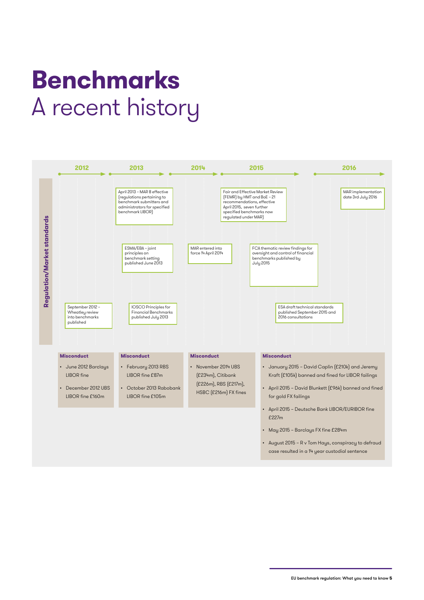### **Benchmarks** A recent history



case resulted in a 14 year custodial sentence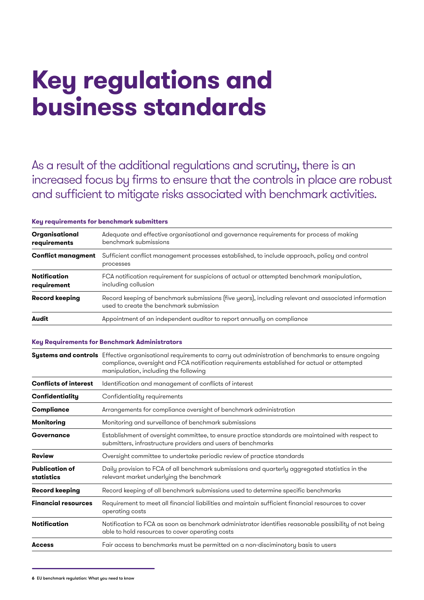### **Key regulations and business standards**

As a result of the additional regulations and scrutiny, there is an increased focus by firms to ensure that the controls in place are robust and sufficient to mitigate risks associated with benchmark activities.

|  | Key requirements for benchmark submitters |
|--|-------------------------------------------|
|--|-------------------------------------------|

| Organisational<br>requirements     | Adequate and effective organisational and governance requirements for process of making<br>benchmark submissions                               |
|------------------------------------|------------------------------------------------------------------------------------------------------------------------------------------------|
| <b>Conflict managment</b>          | Sufficient conflict management processes established, to include approach, policy and control<br>processes                                     |
| <b>Notification</b><br>requirement | FCA notification requirement for suspicions of actual or attempted benchmark manipulation,<br>including collusion                              |
| <b>Record keeping</b>              | Record keeping of benchmark submissions (five years), including relevant and associated information<br>used to create the benchmark submission |
| Audit                              | Appointment of an independent auditor to report annually on compliance                                                                         |

#### **Key Requirements for Benchmark Administrators**

|                                     | Systems and controls Effective organisational requirements to carry out administration of benchmarks to ensure ongoing<br>compliance, oversight and FCA notification requirements established for actual or attempted<br>manipulation, including the following |
|-------------------------------------|----------------------------------------------------------------------------------------------------------------------------------------------------------------------------------------------------------------------------------------------------------------|
| <b>Conflicts of interest</b>        | Identification and management of conflicts of interest                                                                                                                                                                                                         |
| Confidentiality                     | Confidentiality requirements                                                                                                                                                                                                                                   |
| Compliance                          | Arrangements for compliance oversight of benchmark administration                                                                                                                                                                                              |
| <b>Monitoring</b>                   | Monitoring and surveillance of benchmark submissions                                                                                                                                                                                                           |
| Governance                          | Establishment of oversight committee, to ensure practice standards are maintained with respect to<br>submitters, infrastructure providers and users of benchmarks                                                                                              |
| <b>Review</b>                       | Oversight committee to undertake periodic review of practice standards                                                                                                                                                                                         |
| <b>Publication of</b><br>statistics | Daily provision to FCA of all benchmark submissions and quarterly aggregated statistics in the<br>relevant market underlying the benchmark                                                                                                                     |
| <b>Record keeping</b>               | Record keeping of all benchmark submissions used to determine specific benchmarks                                                                                                                                                                              |
| <b>Financial resources</b>          | Requirement to meet all financial liabilities and maintain sufficient financial resources to cover<br>operating costs                                                                                                                                          |
| <b>Notification</b>                 | Notification to FCA as soon as benchmark administrator identifies reasonable possibility of not being<br>able to hold resources to cover operating costs                                                                                                       |
| <b>Access</b>                       | Fair access to benchmarks must be permitted on a non-disciminatory basis to users                                                                                                                                                                              |

**<sup>6</sup>** EU benchmark regulation: What you need to know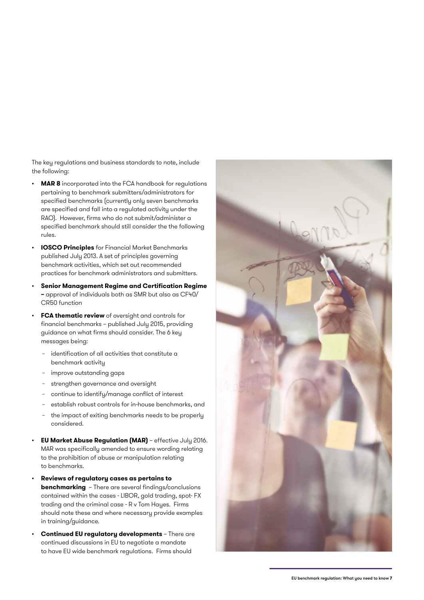The key regulations and business standards to note, include the following:

- **MAR 8** incorporated into the FCA handbook for regulations pertaining to benchmark submitters/administrators for specified benchmarks (currently only seven benchmarks are specified and fall into a regulated activity under the RAO). However, firms who do not submit/administer a specified benchmark should still consider the the following rules.
- **IOSCO Principles** for Financial Market Benchmarks published July 2013. A set of principles governing benchmark activities, which set out recommended practices for benchmark administrators and submitters.
- **Senior Management Regime and Certification Regime –** approval of individuals both as SMR but also as CF40/ CR50 function
- **FCA thematic review** of oversight and controls for financial benchmarks – published July 2015, providing guidance on what firms should consider. The 6 key messages being:
	- − identification of all activities that constitute a benchmark activity
	- improve outstanding gaps
	- strengthen governance and oversight
	- − continue to identify/manage conflict of interest
	- establish robust controls for in-house benchmarks, and
	- the impact of exiting benchmarks needs to be properly considered.
- **EU Market Abuse Regulation (MAR)**  effective July 2016. MAR was specifically amended to ensure wording relating to the prohibition of abuse or manipulation relating to benchmarks.
- **Reviews of regulatory cases as pertains to benchmarking** – There are several findings/conclusions contained within the cases - LIBOR, gold trading, spot- FX trading and the criminal case - R v Tom Hayes. Firms should note these and where necessary provide examples in training/guidance.
- **Continued EU regulatory developments**  There are continued discussions in EU to negotiate a mandate to have EU wide benchmark regulations. Firms should

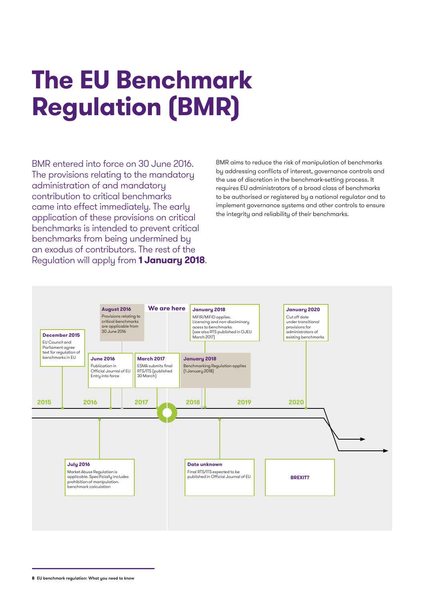## **The EU Benchmark Regulation (BMR)**

BMR entered into force on 30 June 2016. The provisions relating to the mandatory administration of and mandatory contribution to critical benchmarks came into effect immediately. The early application of these provisions on critical benchmarks is intended to prevent critical benchmarks from being undermined by an exodus of contributors. The rest of the Regulation will apply from **1 January 2018**.

BMR aims to reduce the risk of manipulation of benchmarks by addressing conflicts of interest, governance controls and the use of discretion in the benchmark-setting process. It requires EU administrators of a broad class of benchmarks to be authorised or registered by a national regulator and to implement governance systems and other controls to ensure the integrity and reliability of their benchmarks.



**<sup>8</sup>** EU benchmark regulation: What you need to know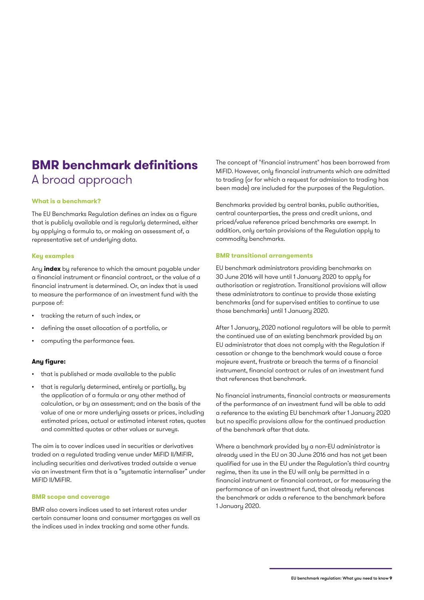### **BMR benchmark definitions**  A broad approach

#### **What is a benchmark?**

The EU Benchmarks Regulation defines an index as a figure that is publicly available and is regularly determined, either by applying a formula to, or making an assessment of, a representative set of underlying data.

#### **Key examples**

Any **index** by reference to which the amount payable under a financial instrument or financial contract, or the value of a financial instrument is determined. Or, an index that is used to measure the performance of an investment fund with the purpose of:

- tracking the return of such index, or
- defining the asset allocation of a portfolio, or
- computing the performance fees.

#### **Any figure:**

- that is published or made available to the public
- that is regularly determined, entirely or partially, by the application of a formula or any other method of calculation, or by an assessment; and on the basis of the value of one or more underlying assets or prices, including estimated prices, actual or estimated interest rates, quotes and committed quotes or other values or surveys.

The aim is to cover indices used in securities or derivatives traded on a regulated trading venue under MiFID II/MiFIR, including securities and derivatives traded outside a venue via an investment firm that is a "systematic internaliser" under MiFID II/MiFIR.

#### **BMR scope and coverage**

BMR also covers indices used to set interest rates under certain consumer loans and consumer mortgages as well as the indices used in index tracking and some other funds.

The concept of "financial instrument" has been borrowed from MiFID. However, only financial instruments which are admitted to trading (or for which a request for admission to trading has been made) are included for the purposes of the Regulation.

Benchmarks provided by central banks, public authorities, central counterparties, the press and credit unions, and priced/value reference priced benchmarks are exempt. In addition, only certain provisions of the Regulation apply to commodity benchmarks.

#### **BMR transitional arrangements**

EU benchmark administrators providing benchmarks on 30 June 2016 will have until 1 January 2020 to apply for authorisation or registration. Transitional provisions will allow these administrators to continue to provide those existing benchmarks (and for supervised entities to continue to use those benchmarks) until 1 January 2020.

After 1 January, 2020 national regulators will be able to permit the continued use of an existing benchmark provided by an EU administrator that does not comply with the Regulation if cessation or change to the benchmark would cause a force majeure event, frustrate or breach the terms of a financial instrument, financial contract or rules of an investment fund that references that benchmark.

No financial instruments, financial contracts or measurements of the performance of an investment fund will be able to add a reference to the existing EU benchmark after 1 January 2020 but no specific provisions allow for the continued production of the benchmark after that date.

Where a benchmark provided by a non-EU administrator is already used in the EU on 30 June 2016 and has not yet been qualified for use in the EU under the Regulation's third country regime, then its use in the EU will only be permitted in a financial instrument or financial contract, or for measuring the performance of an investment fund, that already references the benchmark or adds a reference to the benchmark before 1 January 2020.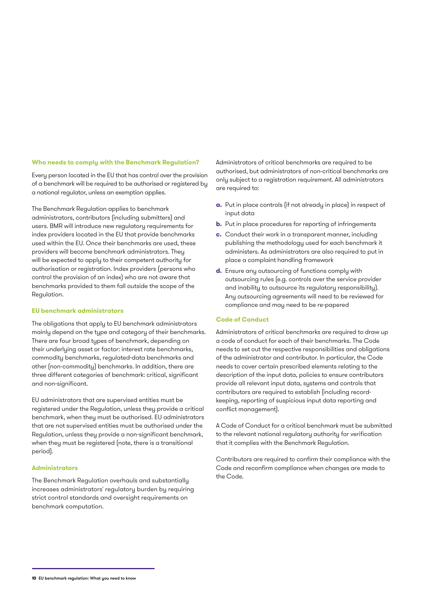#### **Who needs to comply with the Benchmark Regulation?**

Every person located in the EU that has control over the provision of a benchmark will be required to be authorised or registered by a national regulator, unless an exemption applies.

The Benchmark Regulation applies to benchmark administrators, contributors (including submitters) and users. BMR will introduce new regulatory requirements for index providers located in the EU that provide benchmarks used within the EU. Once their benchmarks are used, these providers will become benchmark administrators. They will be expected to apply to their competent authority for authorisation or registration. Index providers (persons who control the provision of an index) who are not aware that benchmarks provided to them fall outside the scope of the Regulation.

#### **EU benchmark administrators**

The obligations that apply to EU benchmark administrators mainly depend on the type and category of their benchmarks. There are four broad types of benchmark, depending on their underlying asset or factor: interest rate benchmarks, commodity benchmarks, regulated-data benchmarks and other (non-commodity) benchmarks. In addition, there are three different categories of benchmark: critical, significant and non-significant.

EU administrators that are supervised entities must be registered under the Regulation, unless they provide a critical benchmark, when they must be authorised. EU administrators that are not supervised entities must be authorised under the Regulation, unless they provide a non-significant benchmark, when they must be registered (note, there is a transitional period).

#### **Administrators**

The Benchmark Regulation overhauls and substantially increases administrators' regulatory burden by requiring strict control standards and oversight requirements on benchmark computation.

Administrators of critical benchmarks are required to be authorised, but administrators of non-critical benchmarks are only subject to a registration requirement. All administrators are required to:

- **a.** Put in place controls (if not already in place) in respect of input data
- **b.** Put in place procedures for reporting of infringements
- **c.** Conduct their work in a transparent manner, including publishing the methodology used for each benchmark it administers. As administrators are also required to put in place a complaint handling framework
- **d.** Ensure any outsourcing of functions comply with outsourcing rules (e.g. controls over the service provider and inability to outsource its regulatory responsibility). Any outsourcing agreements will need to be reviewed for compliance and may need to be re-papered

#### **Code of Conduct**

Administrators of critical benchmarks are required to draw up a code of conduct for each of their benchmarks. The Code needs to set out the respective responsibilities and obligations of the administrator and contributor. In particular, the Code needs to cover certain prescribed elements relating to the description of the input data, policies to ensure contributors provide all relevant input data, systems and controls that contributors are required to establish (including recordkeeping, reporting of suspicious input data reporting and conflict management).

A Code of Conduct for a critical benchmark must be submitted to the relevant national regulatory authority for verification that it complies with the Benchmark Regulation.

Contributors are required to confirm their compliance with the Code and reconfirm compliance when changes are made to the Code.

**<sup>10</sup>** EU benchmark regulation: What you need to know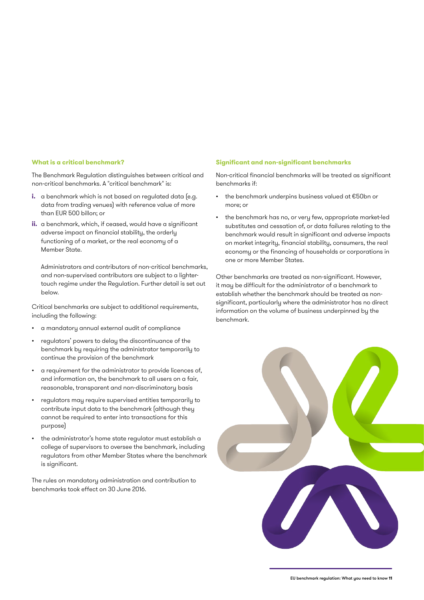#### **What is a critical benchmark?**

The Benchmark Regulation distinguishes between critical and non-critical benchmarks. A "critical benchmark" is:

- **i.** a benchmark which is not based on regulated data [e.g. data from trading venues) with reference value of more than EUR 500 billon; or
- **ii.** a benchmark, which, if ceased, would have a significant adverse impact on financial stability, the orderly functioning of a market, or the real economy of a Member State.

Administrators and contributors of non-critical benchmarks, and non-supervised contributors are subject to a lightertouch regime under the Regulation. Further detail is set out below.

Critical benchmarks are subject to additional requirements, including the following:

- a mandatory annual external audit of compliance
- regulators' powers to delay the discontinuance of the benchmark by requiring the administrator temporarily to continue the provision of the benchmark
- a requirement for the administrator to provide licences of, and information on, the benchmark to all users on a fair, reasonable, transparent and non-discriminatory basis
- regulators may require supervised entities temporarily to contribute input data to the benchmark (although they cannot be required to enter into transactions for this purpose)
- the administrator's home state regulator must establish a college of supervisors to oversee the benchmark, including regulators from other Member States where the benchmark is significant.

The rules on mandatory administration and contribution to benchmarks took effect on 30 June 2016.

#### **Significant and non-significant benchmarks**

Non-critical financial benchmarks will be treated as significant benchmarks if:

- the benchmark underpins business valued at €50bn or more; or
- the benchmark has no, or very few, appropriate market-led substitutes and cessation of, or data failures relating to the benchmark would result in significant and adverse impacts on market integrity, financial stability, consumers, the real economy or the financing of households or corporations in one or more Member States.

Other benchmarks are treated as non-significant. However, it may be difficult for the administrator of a benchmark to establish whether the benchmark should be treated as nonsignificant, particularly where the administrator has no direct information on the volume of business underpinned by the benchmark.

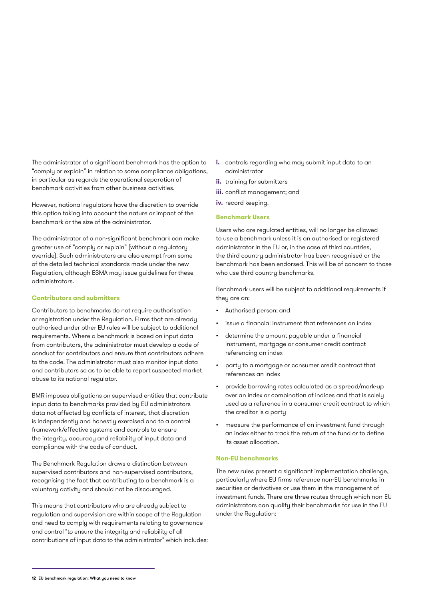The administrator of a significant benchmark has the option to "comply or explain" in relation to some compliance obligations, in particular as regards the operational separation of benchmark activities from other business activities.

However, national regulators have the discretion to override this option taking into account the nature or impact of the benchmark or the size of the administrator.

The administrator of a non-significant benchmark can make greater use of "comply or explain" (without a regulatory override). Such administrators are also exempt from some of the detailed technical standards made under the new Regulation, although ESMA may issue guidelines for these administrators.

#### **Contributors and submitters**

Contributors to benchmarks do not require authorisation or registration under the Regulation. Firms that are already authorised under other EU rules will be subject to additional requirements. Where a benchmark is based on input data from contributors, the administrator must develop a code of conduct for contributors and ensure that contributors adhere to the code. The administrator must also monitor input data and contributors so as to be able to report suspected market abuse to its national regulator.

BMR imposes obligations on supervised entities that contribute input data to benchmarks provided by EU administrators data not affected by conflicts of interest, that discretion is independently and honestly exercised and to a control framework/effective systems and controls to ensure the integrity, accuracy and reliability of input data and compliance with the code of conduct.

The Benchmark Regulation draws a distinction between supervised contributors and non-supervised contributors, recognising the fact that contributing to a benchmark is a voluntary activity and should not be discouraged.

This means that contributors who are already subject to regulation and supervision are within scope of the Regulation and need to comply with requirements relating to governance and control "to ensure the integrity and reliability of all contributions of input data to the administrator" which includes:

- **i.** controls regarding who may submit input data to an administrator
- **ii.** training for submitters
- **iii.** conflict management; and
- **iv.** record keeping.

#### **Benchmark Users**

Users who are regulated entities, will no longer be allowed to use a benchmark unless it is an authorised or registered administrator in the EU or, in the case of third countries, the third country administrator has been recognised or the benchmark has been endorsed. This will be of concern to those who use third country benchmarks.

Benchmark users will be subject to additional requirements if they are an:

- Authorised person; and
- issue a financial instrument that references an index
- determine the amount payable under a financial instrument, mortgage or consumer credit contract referencing an index
- party to a mortgage or consumer credit contract that references an index
- provide borrowing rates calculated as a spread/mark-up over an index or combination of indices and that is solely used as a reference in a consumer credit contract to which the creditor is a party
- measure the performance of an investment fund through an index either to track the return of the fund or to define its asset allocation.

#### **Non-EU benchmarks**

The new rules present a significant implementation challenge, particularly where EU firms reference non-EU benchmarks in securities or derivatives or use them in the management of investment funds. There are three routes through which non-EU administrators can qualify their benchmarks for use in the EU under the Regulation:

**<sup>12</sup>** EU benchmark regulation: What you need to know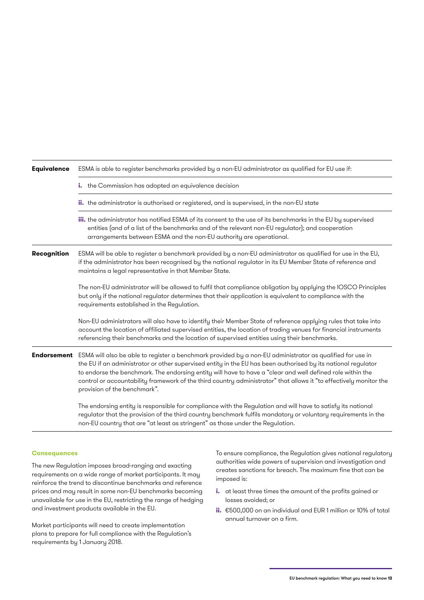| <b>Equivalence</b> | ESMA is able to register benchmarks provided by a non-EU administrator as qualified for EU use if:                                                                                                                                                                                                                                                                                                                                                                                             |  |  |
|--------------------|------------------------------------------------------------------------------------------------------------------------------------------------------------------------------------------------------------------------------------------------------------------------------------------------------------------------------------------------------------------------------------------------------------------------------------------------------------------------------------------------|--|--|
|                    | i. the Commission has adopted an equivalence decision                                                                                                                                                                                                                                                                                                                                                                                                                                          |  |  |
|                    | ii. the administrator is authorised or registered, and is supervised, in the non-EU state                                                                                                                                                                                                                                                                                                                                                                                                      |  |  |
|                    | iii. the administrator has notified ESMA of its consent to the use of its benchmarks in the EU by supervised<br>entities (and of a list of the benchmarks and of the relevant non-EU regulator); and cooperation<br>arrangements between ESMA and the non-EU authority are operational.                                                                                                                                                                                                        |  |  |
| Recognition        | ESMA will be able to register a benchmark provided by a non-EU administrator as qualified for use in the EU,<br>if the administrator has been recognised by the national regulator in its EU Member State of reference and<br>maintains a legal representative in that Member State.                                                                                                                                                                                                           |  |  |
|                    | The non-EU administrator will be allowed to fulfil that compliance obligation by applying the IOSCO Principles<br>but only if the national regulator determines that their application is equivalent to compliance with the<br>requirements established in the Regulation.                                                                                                                                                                                                                     |  |  |
|                    | Non-EU administrators will also have to identify their Member State of reference applying rules that take into<br>account the location of affiliated supervised entities, the location of trading venues for financial instruments<br>referencing their benchmarks and the location of supervised entities using their benchmarks.                                                                                                                                                             |  |  |
| <b>Endorsement</b> | ESMA will also be able to register a benchmark provided by a non-EU administrator as qualified for use in<br>the EU if an administrator or other supervised entity in the EU has been authorised by its national regulator<br>to endorse the benchmark. The endorsing entity will have to have a "clear and well defined role within the<br>control or accountability framework of the third country administrator" that allows it "to effectively monitor the<br>provision of the benchmark". |  |  |
|                    | The endorsing entity is responsible for compliance with the Regulation and will have to satisfy its national<br>regulator that the provision of the third country benchmark fulfils mandatory or voluntary requirements in the<br>non-EU country that are "at least as stringent" as those under the Regulation.                                                                                                                                                                               |  |  |

#### **Consequences**

The new Regulation imposes broad-ranging and exacting requirements on a wide range of market participants. It may reinforce the trend to discontinue benchmarks and reference prices and may result in some non-EU benchmarks becoming unavailable for use in the EU, restricting the range of hedging and investment products available in the EU.

Market participants will need to create implementation plans to prepare for full compliance with the Regulation's requirements by 1 January 2018.

To ensure compliance, the Regulation gives national regulatory authorities wide powers of supervision and investigation and creates sanctions for breach. The maximum fine that can be imposed is:

- **i.** at least three times the amount of the profits gained or losses avoided; or
- **ii.** €500,000 on an individual and EUR 1 million or 10% of total annual turnover on a firm.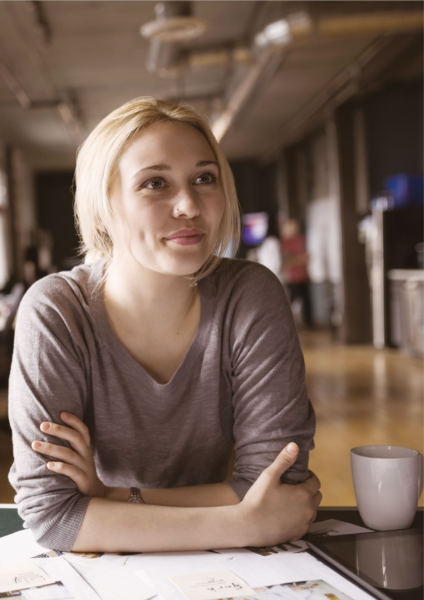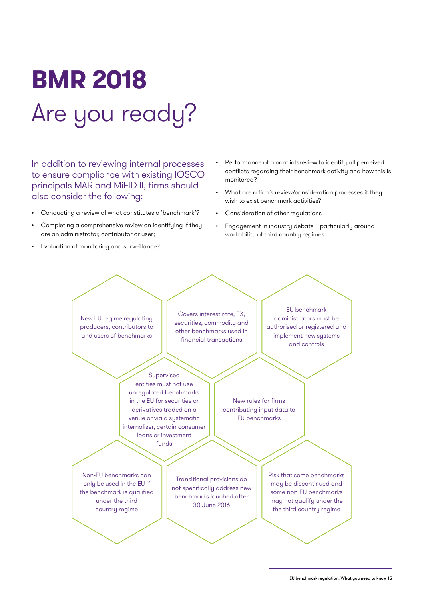# **BMR 2018** Are you ready?

In addition to reviewing internal processes to ensure compliance with existing IOSCO principals MAR and MiFID II, firms should also consider the following:

- Conducting a review of what constitutes a 'benchmark'?
- Completing a comprehensive review on identifying if they are an administrator, contributor or user;
- Evaluation of monitoring and surveillance?
- Performance of a conflictsreview to identify all perceived conflicts regarding their benchmark activity and how this is monitored?
- What are a firm's review/consideration processes if they wish to exist benchmark activities?
- Consideration of other regulations
- Engagement in industry debate particularly around workability of third country regimes